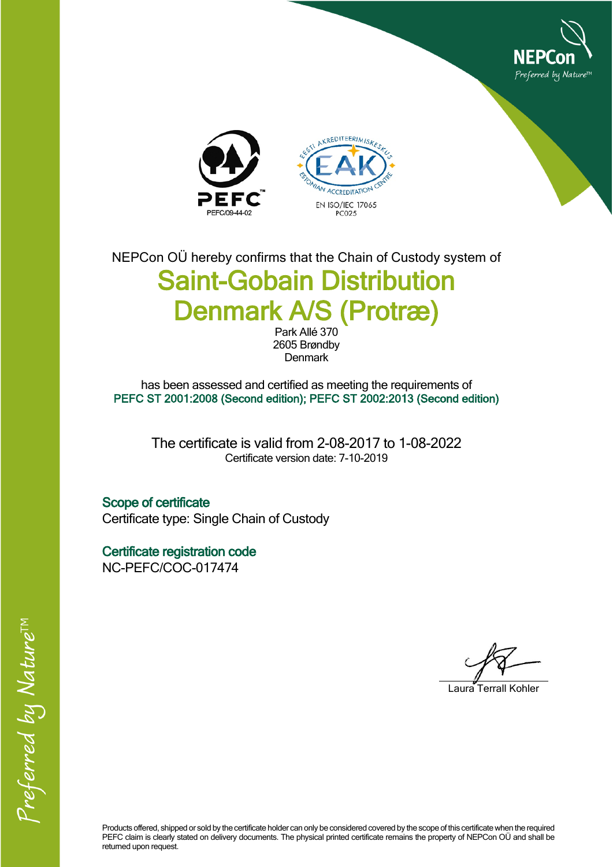





NEPCon OÜ hereby confirms that the Chain of Custody system of **Saint-Gobain Distribution Denmark A/S (Protræ)**

Park Allé 370 2605 Brøndby Denmark

has been assessed and certified as meeting the requirements of **PEFC ST 2001:2008 (Second edition); PEFC ST 2002:2013 (Second edition)**

The certificate is valid from 2-08-2017 to 1-08-2022 Certificate version date: 7-10-2019

**Scope of certificate** Certificate type: Single Chain of Custody

**Certificate registration code** NC-PEFC/COC-017474

Laura Terrall Kohler

Products offered, shipped or sold by the certificate holder can only be considered covered by the scope of this certificate when the required PEFC claim is clearly stated on delivery documents. The physical printed certificate remains the property of NEPCon OÜ and shall be returned upon request.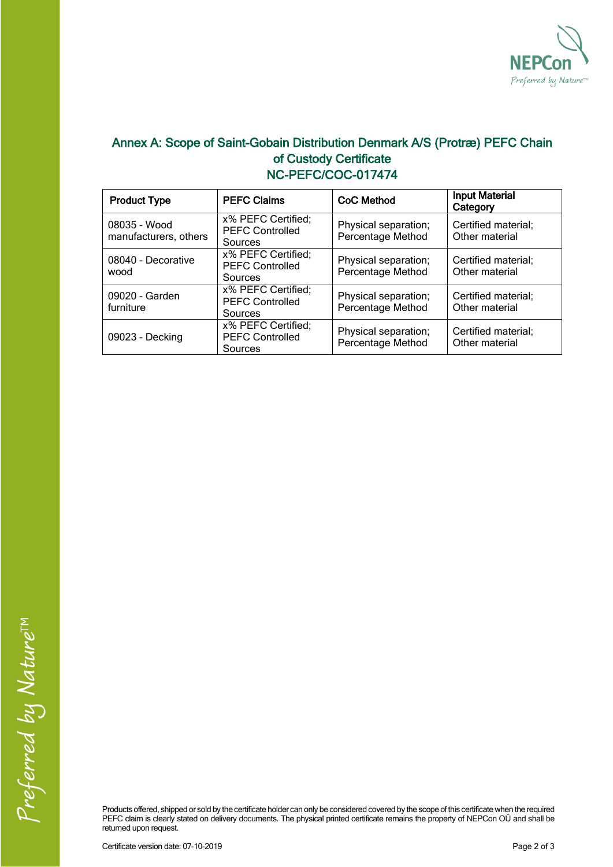

## **Annex A: Scope of Saint-Gobain Distribution Denmark A/S (Protræ) PEFC Chain of Custody Certificate NC-PEFC/COC-017474**

| <b>Product Type</b>                   | <b>PEFC Claims</b>                                      | CoC Method                                | <b>Input Material</b><br>Category     |
|---------------------------------------|---------------------------------------------------------|-------------------------------------------|---------------------------------------|
| 08035 - Wood<br>manufacturers, others | x% PEFC Certified;<br><b>PEFC Controlled</b><br>Sources | Physical separation;<br>Percentage Method | Certified material;<br>Other material |
| 08040 - Decorative<br>wood            | x% PEFC Certified;<br><b>PEFC Controlled</b><br>Sources | Physical separation;<br>Percentage Method | Certified material;<br>Other material |
| 09020 - Garden<br>furniture           | x% PEFC Certified;<br><b>PEFC Controlled</b><br>Sources | Physical separation;<br>Percentage Method | Certified material;<br>Other material |
| 09023 - Decking                       | x% PEFC Certified;<br><b>PEFC Controlled</b><br>Sources | Physical separation;<br>Percentage Method | Certified material;<br>Other material |

Products offered, shipped or sold by the certificate holder can only be considered covered by the scope of this certificate when the required PEFC claim is clearly stated on delivery documents. The physical printed certificate remains the property of NEPCon OU and shall be returned upon request.